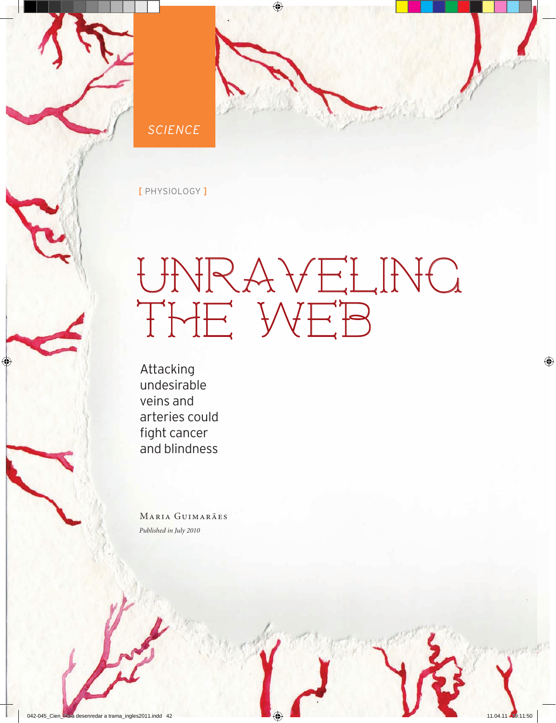



[ physiology ]

## Unraveling THE WEB

Attacking undesirable veins and arteries could fight cancer and blindness

Maria Guimarães *Published in July 2010*

**42** <sup>n</sup> Special issue may 2009 / dec 2010 <sup>n</sup> **PESQUISA FAPESP**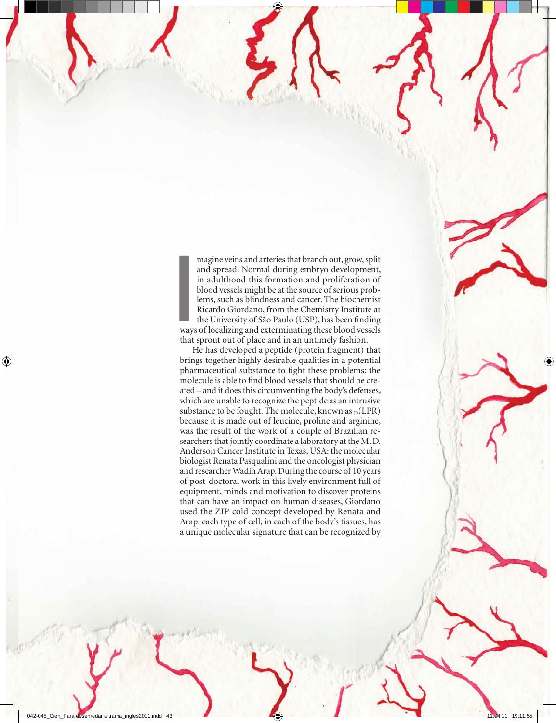**I**<br> **I**<br> **I**<br> **I**<br> **I**<br> **I**<br> **I** magine veins and arteries that branch out, grow, split and spread. Normal during embryo development, in adulthood this formation and proliferation of blood vessels might be at the source of serious problems, such as blindness and cancer. The biochemist Ricardo Giordano, from the Chemistry Institute at the University of São Paulo (USP), has been finding ways of localizing and exterminating these blood vessels that sprout out of place and in an untimely fashion.

He has developed a peptide (protein fragment) that brings together highly desirable qualities in a potential pharmaceutical substance to fight these problems: the molecule is able to find blood vessels that should be created – and it does this circumventing the body's defenses, which are unable to recognize the peptide as an intrusive substance to be fought. The molecule, known as  $_D(LPR)$ because it is made out of leucine, proline and arginine, was the result of the work of a couple of Brazilian researchers that jointly coordinate a laboratory at the M. D. Anderson Cancer Institute in Texas, USA: the molecular biologist Renata Pasqualini and the oncologist physician and researcher Wadih Arap. During the course of 10 years of post-doctoral work in this lively environment full of equipment, minds and motivation to discover proteins that can have an impact on human diseases, Giordano used the ZIP cold concept developed by Renata and Arap: each type of cell, in each of the body's tissues, has a unique molecular signature that can be recognized by

**PESQUISA FAPESP ISSUE MAY 2009 / decision issue may 2009 / decision in Special issue may 2009 / decision in 2010**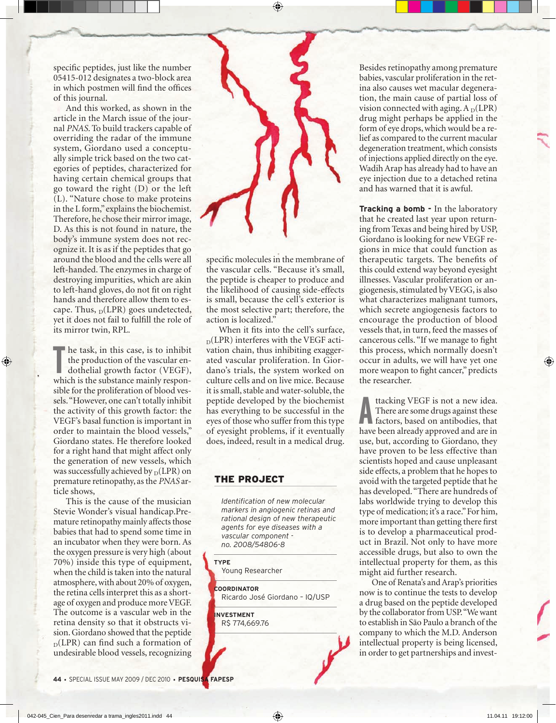specific peptides, just like the number 05415-012 designates a two-block area in which postmen will find the offices of this journal.

And this worked, as shown in the article in the March issue of the journal *PNAS*. To build trackers capable of overriding the radar of the immune system, Giordano used a conceptually simple trick based on the two categories of peptides, characterized for having certain chemical groups that go toward the right (D) or the left (L). "Nature chose to make proteins in the L form," explains the biochemist. Therefore, he chose their mirror image, D. As this is not found in nature, the body's immune system does not recognize it. It is as if the peptides that go around the blood and the cells were all left-handed. The enzymes in charge of destroying impurities, which are akin to left-hand gloves, do not fit on right hands and therefore allow them to escape. Thus,  $_D(LPR)$  goes undetected, yet it does not fail to fulfill the role of its mirror twin, RPL.

**The task, in this case, is to inhibit**<br>the production of the vascular en-<br>dothelial growth factor (VEGF),<br>which is the substance mainly responhe task, in this case, is to inhibit the production of the vascular endothelial growth factor (VEGF), sible for the proliferation of blood vessels. "However, one can't totally inhibit the activity of this growth factor: the VEGF's basal function is important in order to maintain the blood vessels," Giordano states. He therefore looked for a right hand that might affect only the generation of new vessels, which was successfully achieved by  $_D(LPR)$  on premature retinopathy, as the *PNAS* article shows,

This is the cause of the musician Stevie Wonder's visual handicap.Premature retinopathy mainly affects those babies that had to spend some time in an incubator when they were born. As the oxygen pressure is very high (about 70%) inside this type of equipment, when the child is taken into the natural atmosphere, with about 20% of oxygen, the retina cells interpret this as a shortage of oxygen and produce more VEGF. The outcome is a vascular web in the retina density so that it obstructs vision. Giordano showed that the peptide  $_D(LPR)$  can find such a formation of undesirable blood vessels, recognizing



specific molecules in the membrane of the vascular cells. "Because it's small, the peptide is cheaper to produce and the likelihood of causing side-effects is small, because the cell's exterior is the most selective part; therefore, the action is localized."

When it fits into the cell's surface,  $_D$ (LPR) interferes with the VEGF activation chain, thus inhibiting exaggerated vascular proliferation. In Giordano's trials, the system worked on culture cells and on live mice. Because it is small, stable and water-soluble, the peptide developed by the biochemist has everything to be successful in the eyes of those who suffer from this type of eyesight problems, if it eventually does, indeed, result in a medical drug.

## **THE PROJECT**

*Identification of new molecular markers in angiogenic retinas and rational design of new therapeutic agents for eye diseases with a vascular component no. 2008/54806-8*

## **type**

Young Researcher

**Coordinator** Ricardo José Giordano – IQ/USP

**investment** R\$ 774,669.76 Besides retinopathy among premature babies, vascular proliferation in the retina also causes wet macular degeneration, the main cause of partial loss of vision connected with aging.  $A_D(LPR)$ drug might perhaps be applied in the form of eye drops, which would be a relief as compared to the current macular degeneration treatment, which consists of injections applied directly on the eye. Wadih Arap has already had to have an eye injection due to a detached retina and has warned that it is awful.

**Tracking a bomb -** In the laboratory that he created last year upon returning from Texas and being hired by USP, Giordano is looking for new VEGF regions in mice that could function as therapeutic targets. The benefits of this could extend way beyond eyesight illnesses. Vascular proliferation or angiogenesis, stimulated by VEGG, is also what characterizes malignant tumors, which secrete angiogenesis factors to encourage the production of blood vessels that, in turn, feed the masses of cancerous cells. "If we manage to fight this process, which normally doesn't occur in adults, we will have yet one more weapon to fight cancer," predicts the researcher.

**A** tracking VEGF is not a new idea.<br>There are some drugs against these factors, based on antibodies, that<br>have been already approved and are in ttacking VEGF is not a new idea. There are some drugs against these factors, based on antibodies, that use, but, according to Giordano, they have proven to be less effective than scientists hoped and cause unpleasant side effects, a problem that he hopes to avoid with the targeted peptide that he has developed. "There are hundreds of labs worldwide trying to develop this type of medication; it's a race." For him, more important than getting there first is to develop a pharmaceutical product in Brazil. Not only to have more accessible drugs, but also to own the intellectual property for them, as this might aid further research.

One of Renata's and Arap's priorities now is to continue the tests to develop a drug based on the peptide developed by the collaborator from USP. "We want to establish in São Paulo a branch of the company to which the M.D. Anderson intellectual property is being licensed, in order to get partnerships and invest